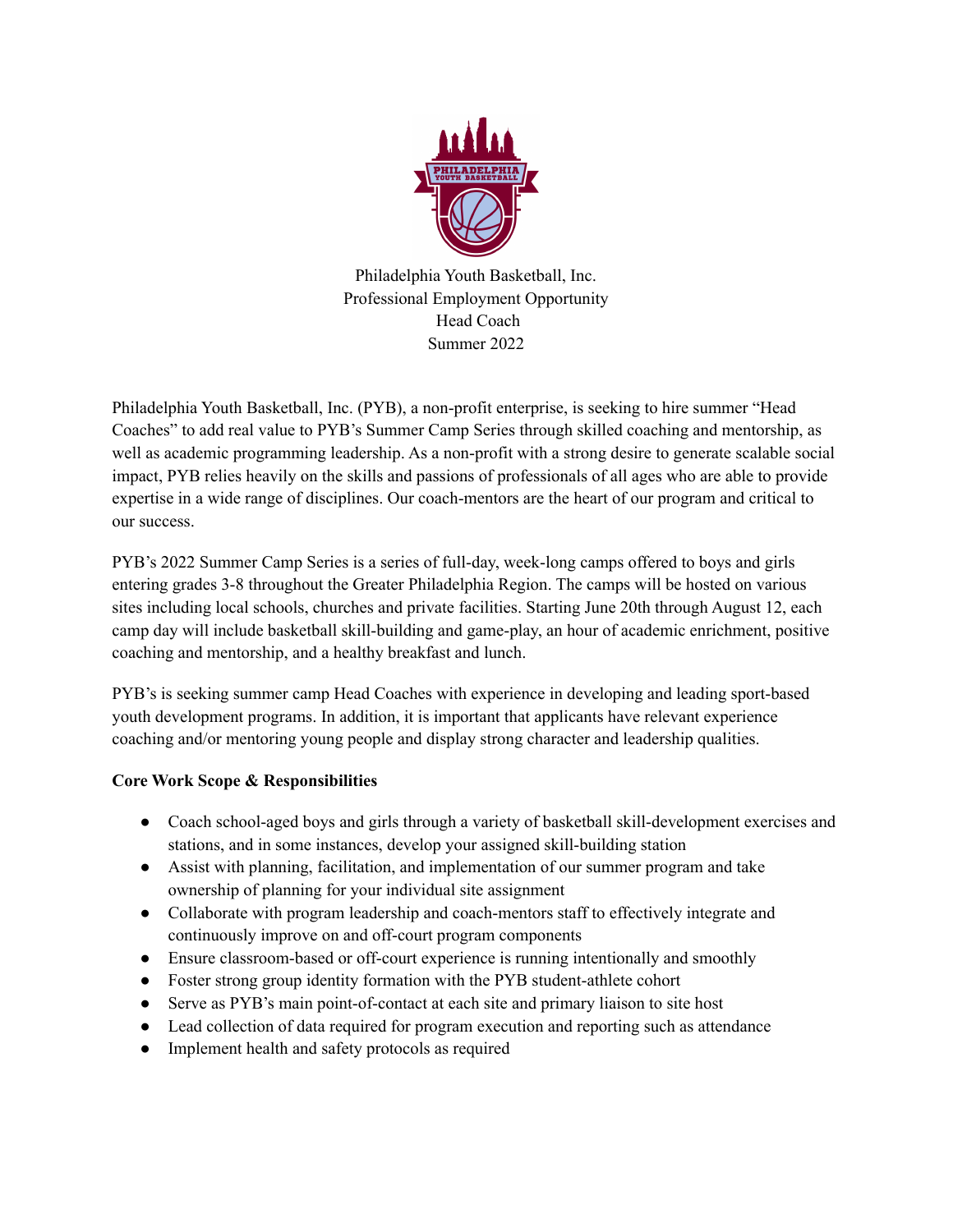

Philadelphia Youth Basketball, Inc. Professional Employment Opportunity Head Coach Summer 2022

Philadelphia Youth Basketball, Inc. (PYB), a non-profit enterprise, is seeking to hire summer "Head Coaches" to add real value to PYB's Summer Camp Series through skilled coaching and mentorship, as well as academic programming leadership. As a non-profit with a strong desire to generate scalable social impact, PYB relies heavily on the skills and passions of professionals of all ages who are able to provide expertise in a wide range of disciplines. Our coach-mentors are the heart of our program and critical to our success.

PYB's 2022 Summer Camp Series is a series of full-day, week-long camps offered to boys and girls entering grades 3-8 throughout the Greater Philadelphia Region. The camps will be hosted on various sites including local schools, churches and private facilities. Starting June 20th through August 12, each camp day will include basketball skill-building and game-play, an hour of academic enrichment, positive coaching and mentorship, and a healthy breakfast and lunch.

PYB's is seeking summer camp Head Coaches with experience in developing and leading sport-based youth development programs. In addition, it is important that applicants have relevant experience coaching and/or mentoring young people and display strong character and leadership qualities.

# **Core Work Scope & Responsibilities**

- Coach school-aged boys and girls through a variety of basketball skill-development exercises and stations, and in some instances, develop your assigned skill-building station
- Assist with planning, facilitation, and implementation of our summer program and take ownership of planning for your individual site assignment
- Collaborate with program leadership and coach-mentors staff to effectively integrate and continuously improve on and off-court program components
- Ensure classroom-based or off-court experience is running intentionally and smoothly
- Foster strong group identity formation with the PYB student-athlete cohort
- Serve as PYB's main point-of-contact at each site and primary liaison to site host
- Lead collection of data required for program execution and reporting such as attendance
- Implement health and safety protocols as required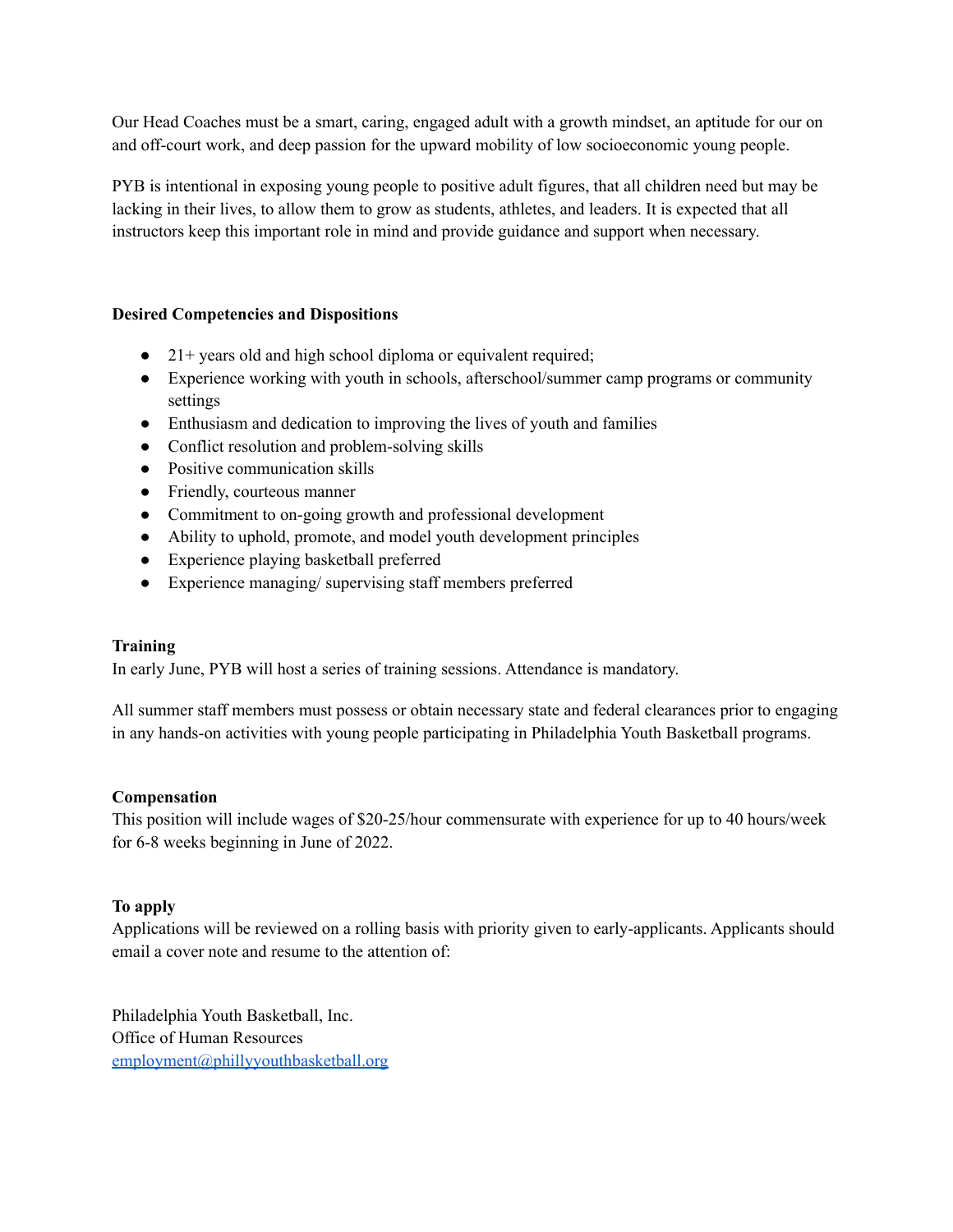Our Head Coaches must be a smart, caring, engaged adult with a growth mindset, an aptitude for our on and off-court work, and deep passion for the upward mobility of low socioeconomic young people.

PYB is intentional in exposing young people to positive adult figures, that all children need but may be lacking in their lives, to allow them to grow as students, athletes, and leaders. It is expected that all instructors keep this important role in mind and provide guidance and support when necessary.

## **Desired Competencies and Dispositions**

- 21+ years old and high school diploma or equivalent required;
- Experience working with youth in schools, afterschool/summer camp programs or community settings
- Enthusiasm and dedication to improving the lives of youth and families
- Conflict resolution and problem-solving skills
- Positive communication skills
- Friendly, courteous manner
- Commitment to on-going growth and professional development
- Ability to uphold, promote, and model youth development principles
- Experience playing basketball preferred
- Experience managing/ supervising staff members preferred

### **Training**

In early June, PYB will host a series of training sessions. Attendance is mandatory.

All summer staff members must possess or obtain necessary state and federal clearances prior to engaging in any hands-on activities with young people participating in Philadelphia Youth Basketball programs.

### **Compensation**

This position will include wages of \$20-25/hour commensurate with experience for up to 40 hours/week for 6-8 weeks beginning in June of 2022.

### **To apply**

Applications will be reviewed on a rolling basis with priority given to early-applicants. Applicants should email a cover note and resume to the attention of:

Philadelphia Youth Basketball, Inc. Office of Human Resources [employment@phillyyouthbasketball.org](mailto:employment@phillyyouthbasketball.org)